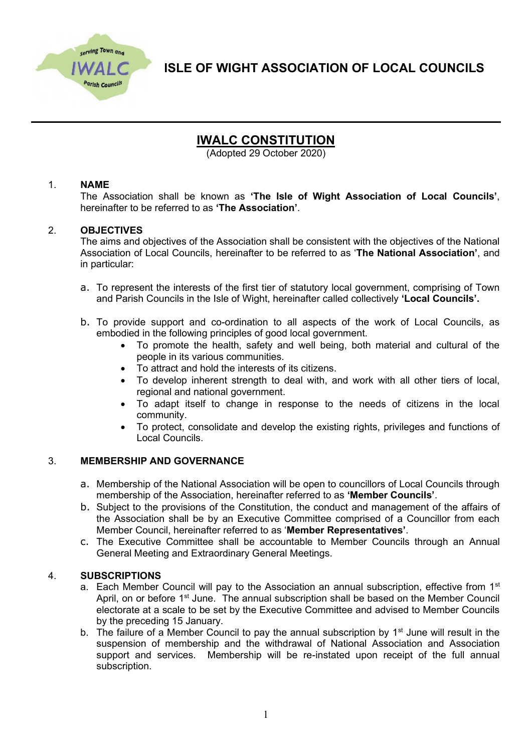

**ISLE OF WIGHT ASSOCIATION OF LOCAL COUNCILS**

# **IWALC CONSTITUTION**

(Adopted 29 October 2020)

# 1. **NAME**

The Association shall be known as **'The Isle of Wight Association of Local Councils'**, hereinafter to be referred to as **'The Association'**.

# 2. **OBJECTIVES**

The aims and objectives of the Association shall be consistent with the objectives of the National Association of Local Councils, hereinafter to be referred to as '**The National Association'**, and in particular:

- a. To represent the interests of the first tier of statutory local government, comprising of Town and Parish Councils in the Isle of Wight, hereinafter called collectively **'Local Councils'.**
- b. To provide support and co-ordination to all aspects of the work of Local Councils, as embodied in the following principles of good local government.
	- To promote the health, safety and well being, both material and cultural of the people in its various communities.
	- To attract and hold the interests of its citizens.
	- To develop inherent strength to deal with, and work with all other tiers of local, regional and national government.
	- To adapt itself to change in response to the needs of citizens in the local community.
	- To protect, consolidate and develop the existing rights, privileges and functions of Local Councils.

#### 3. **MEMBERSHIP AND GOVERNANCE**

- a. Membership of the National Association will be open to councillors of Local Councils through membership of the Association, hereinafter referred to as **'Member Councils'**.
- b. Subject to the provisions of the Constitution, the conduct and management of the affairs of the Association shall be by an Executive Committee comprised of a Councillor from each Member Council, hereinafter referred to as '**Member Representatives'**.
- c. The Executive Committee shall be accountable to Member Councils through an Annual General Meeting and Extraordinary General Meetings.

#### 4. **SUBSCRIPTIONS**

- a. Each Member Council will pay to the Association an annual subscription, effective from 1<sup>st</sup> April, on or before 1<sup>st</sup> June. The annual subscription shall be based on the Member Council electorate at a scale to be set by the Executive Committee and advised to Member Councils by the preceding 15 January.
- b. The failure of a Member Council to pay the annual subscription by  $1<sup>st</sup>$  June will result in the suspension of membership and the withdrawal of National Association and Association support and services. Membership will be re-instated upon receipt of the full annual subscription.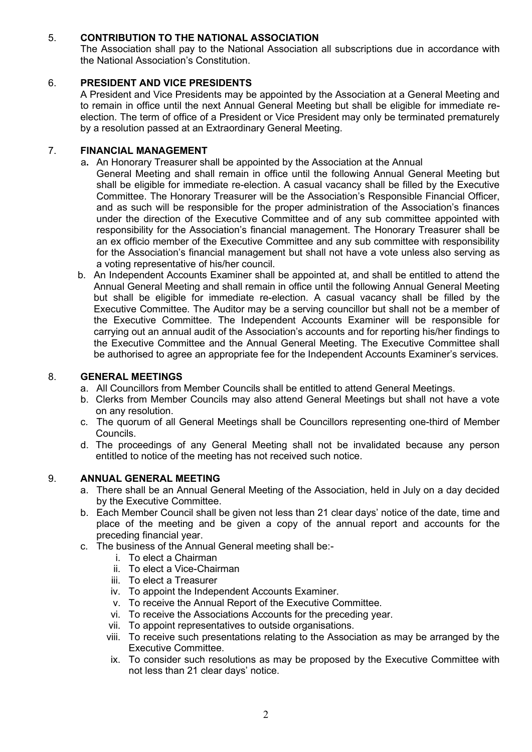# 5. **CONTRIBUTION TO THE NATIONAL ASSOCIATION**

The Association shall pay to the National Association all subscriptions due in accordance with the National Association's Constitution.

# 6. **PRESIDENT AND VICE PRESIDENTS**

A President and Vice Presidents may be appointed by the Association at a General Meeting and to remain in office until the next Annual General Meeting but shall be eligible for immediate reelection. The term of office of a President or Vice President may only be terminated prematurely by a resolution passed at an Extraordinary General Meeting.

# 7. **FINANCIAL MANAGEMENT**

- a**.** An Honorary Treasurer shall be appointed by the Association at the Annual
- General Meeting and shall remain in office until the following Annual General Meeting but shall be eligible for immediate re-election. A casual vacancy shall be filled by the Executive Committee. The Honorary Treasurer will be the Association's Responsible Financial Officer, and as such will be responsible for the proper administration of the Association's finances under the direction of the Executive Committee and of any sub committee appointed with responsibility for the Association's financial management. The Honorary Treasurer shall be an ex officio member of the Executive Committee and any sub committee with responsibility for the Association's financial management but shall not have a vote unless also serving as a voting representative of his/her council.
- b. An Independent Accounts Examiner shall be appointed at, and shall be entitled to attend the Annual General Meeting and shall remain in office until the following Annual General Meeting but shall be eligible for immediate re-election. A casual vacancy shall be filled by the Executive Committee. The Auditor may be a serving councillor but shall not be a member of the Executive Committee. The Independent Accounts Examiner will be responsible for carrying out an annual audit of the Association's accounts and for reporting his/her findings to the Executive Committee and the Annual General Meeting. The Executive Committee shall be authorised to agree an appropriate fee for the Independent Accounts Examiner's services.

# 8. **GENERAL MEETINGS**

- a. All Councillors from Member Councils shall be entitled to attend General Meetings.
- b. Clerks from Member Councils may also attend General Meetings but shall not have a vote on any resolution.
- c. The quorum of all General Meetings shall be Councillors representing one-third of Member Councils.
- d. The proceedings of any General Meeting shall not be invalidated because any person entitled to notice of the meeting has not received such notice.

#### 9. **ANNUAL GENERAL MEETING**

- a. There shall be an Annual General Meeting of the Association, held in July on a day decided by the Executive Committee.
- b. Each Member Council shall be given not less than 21 clear days' notice of the date, time and place of the meeting and be given a copy of the annual report and accounts for the preceding financial year.
- c. The business of the Annual General meeting shall be:
	- i. To elect a Chairman
	- ii. To elect a Vice-Chairman
	- iii. To elect a Treasurer
	- iv. To appoint the Independent Accounts Examiner.
	- v. To receive the Annual Report of the Executive Committee.
	- vi. To receive the Associations Accounts for the preceding year.
	- vii. To appoint representatives to outside organisations.
	- viii. To receive such presentations relating to the Association as may be arranged by the Executive Committee.
	- ix. To consider such resolutions as may be proposed by the Executive Committee with not less than 21 clear days' notice.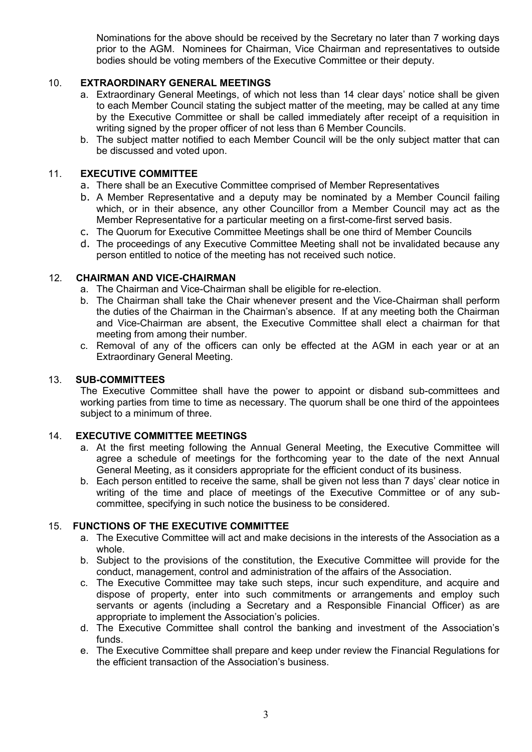Nominations for the above should be received by the Secretary no later than 7 working days prior to the AGM. Nominees for Chairman, Vice Chairman and representatives to outside bodies should be voting members of the Executive Committee or their deputy.

# 10. **EXTRAORDINARY GENERAL MEETINGS**

- a. Extraordinary General Meetings, of which not less than 14 clear days' notice shall be given to each Member Council stating the subject matter of the meeting, may be called at any time by the Executive Committee or shall be called immediately after receipt of a requisition in writing signed by the proper officer of not less than 6 Member Councils.
- b. The subject matter notified to each Member Council will be the only subject matter that can be discussed and voted upon.

# 11. **EXECUTIVE COMMITTEE**

- a. There shall be an Executive Committee comprised of Member Representatives
- b. A Member Representative and a deputy may be nominated by a Member Council failing which, or in their absence, any other Councillor from a Member Council may act as the Member Representative for a particular meeting on a first-come-first served basis.
- c. The Quorum for Executive Committee Meetings shall be one third of Member Councils
- d. The proceedings of any Executive Committee Meeting shall not be invalidated because any person entitled to notice of the meeting has not received such notice.

#### 12. **CHAIRMAN AND VICE-CHAIRMAN**

- a. The Chairman and Vice-Chairman shall be eligible for re-election.
- b. The Chairman shall take the Chair whenever present and the Vice-Chairman shall perform the duties of the Chairman in the Chairman's absence. If at any meeting both the Chairman and Vice-Chairman are absent, the Executive Committee shall elect a chairman for that meeting from among their number.
- c. Removal of any of the officers can only be effected at the AGM in each year or at an Extraordinary General Meeting.

## 13. **SUB-COMMITTEES**

The Executive Committee shall have the power to appoint or disband sub-committees and working parties from time to time as necessary. The quorum shall be one third of the appointees subject to a minimum of three.

#### 14. **EXECUTIVE COMMITTEE MEETINGS**

- a. At the first meeting following the Annual General Meeting, the Executive Committee will agree a schedule of meetings for the forthcoming year to the date of the next Annual General Meeting, as it considers appropriate for the efficient conduct of its business.
- b. Each person entitled to receive the same, shall be given not less than 7 days' clear notice in writing of the time and place of meetings of the Executive Committee or of any subcommittee, specifying in such notice the business to be considered.

#### 15. **FUNCTIONS OF THE EXECUTIVE COMMITTEE**

- a. The Executive Committee will act and make decisions in the interests of the Association as a whole.
- b. Subject to the provisions of the constitution, the Executive Committee will provide for the conduct, management, control and administration of the affairs of the Association.
- c. The Executive Committee may take such steps, incur such expenditure, and acquire and dispose of property, enter into such commitments or arrangements and employ such servants or agents (including a Secretary and a Responsible Financial Officer) as are appropriate to implement the Association's policies.
- d. The Executive Committee shall control the banking and investment of the Association's funds.
- e. The Executive Committee shall prepare and keep under review the Financial Regulations for the efficient transaction of the Association's business.